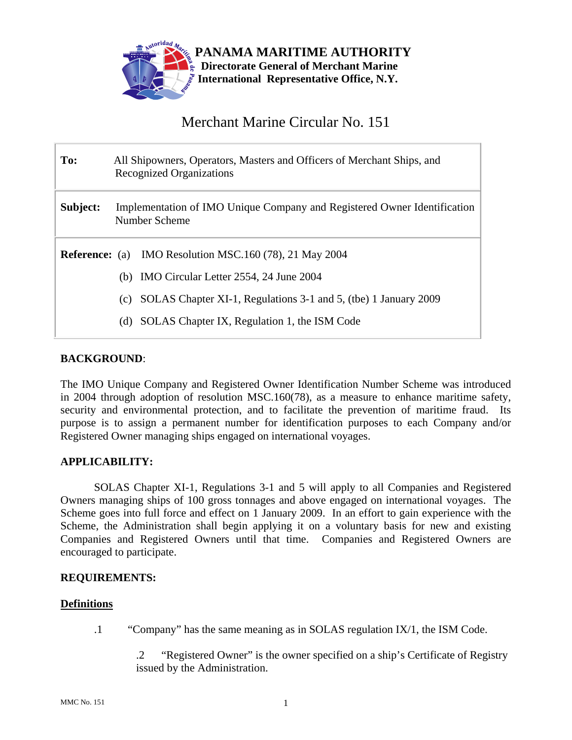

# Merchant Marine Circular No. 151

| To:                                                            | All Shipowners, Operators, Masters and Officers of Merchant Ships, and<br><b>Recognized Organizations</b> |  |  |
|----------------------------------------------------------------|-----------------------------------------------------------------------------------------------------------|--|--|
| Subject:                                                       | Implementation of IMO Unique Company and Registered Owner Identification<br>Number Scheme                 |  |  |
| <b>Reference:</b> (a) IMO Resolution MSC.160 (78), 21 May 2004 |                                                                                                           |  |  |
|                                                                | (b) IMO Circular Letter 2554, 24 June 2004                                                                |  |  |
|                                                                | SOLAS Chapter XI-1, Regulations 3-1 and 5, (tbe) 1 January 2009<br>(c)                                    |  |  |
|                                                                | SOLAS Chapter IX, Regulation 1, the ISM Code<br>(d)                                                       |  |  |

## **BACKGROUND**:

The IMO Unique Company and Registered Owner Identification Number Scheme was introduced in 2004 through adoption of resolution MSC.160(78), as a measure to enhance maritime safety, security and environmental protection, and to facilitate the prevention of maritime fraud. Its purpose is to assign a permanent number for identification purposes to each Company and/or Registered Owner managing ships engaged on international voyages.

#### **APPLICABILITY:**

SOLAS Chapter XI-1, Regulations 3-1 and 5 will apply to all Companies and Registered Owners managing ships of 100 gross tonnages and above engaged on international voyages. The Scheme goes into full force and effect on 1 January 2009. In an effort to gain experience with the Scheme, the Administration shall begin applying it on a voluntary basis for new and existing Companies and Registered Owners until that time. Companies and Registered Owners are encouraged to participate.

#### **REQUIREMENTS:**

#### **Definitions**

.1 "Company" has the same meaning as in SOLAS regulation IX/1, the ISM Code.

.2 "Registered Owner" is the owner specified on a ship's Certificate of Registry issued by the Administration.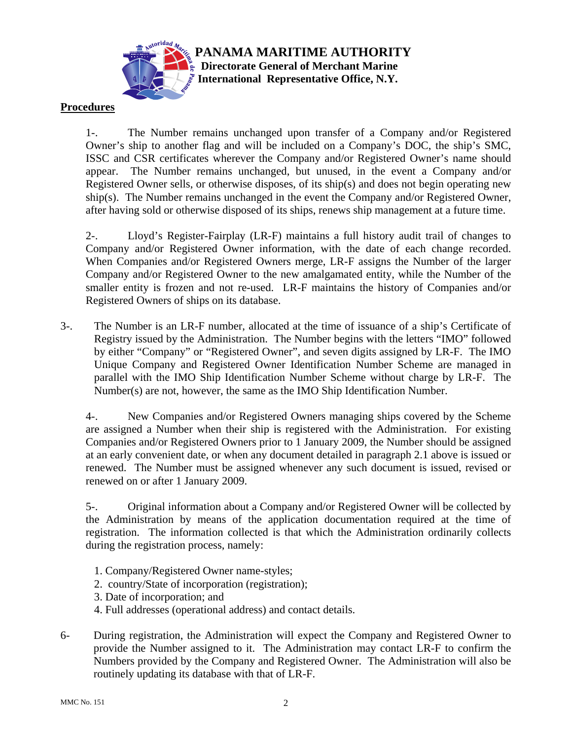

## **Procedures**

1-. The Number remains unchanged upon transfer of a Company and/or Registered Owner's ship to another flag and will be included on a Company's DOC, the ship's SMC, ISSC and CSR certificates wherever the Company and/or Registered Owner's name should appear. The Number remains unchanged, but unused, in the event a Company and/or Registered Owner sells, or otherwise disposes, of its ship(s) and does not begin operating new ship(s). The Number remains unchanged in the event the Company and/or Registered Owner, after having sold or otherwise disposed of its ships, renews ship management at a future time.

**PANAMA MARITIME AUTHORITY Directorate General of Merchant Marine International Representative Office, N.Y.**

2-. Lloyd's Register-Fairplay (LR-F) maintains a full history audit trail of changes to Company and/or Registered Owner information, with the date of each change recorded. When Companies and/or Registered Owners merge, LR-F assigns the Number of the larger Company and/or Registered Owner to the new amalgamated entity, while the Number of the smaller entity is frozen and not re-used. LR-F maintains the history of Companies and/or Registered Owners of ships on its database.

3-. The Number is an LR-F number, allocated at the time of issuance of a ship's Certificate of Registry issued by the Administration. The Number begins with the letters "IMO" followed by either "Company" or "Registered Owner", and seven digits assigned by LR-F. The IMO Unique Company and Registered Owner Identification Number Scheme are managed in parallel with the IMO Ship Identification Number Scheme without charge by LR-F. The Number(s) are not, however, the same as the IMO Ship Identification Number.

4-. New Companies and/or Registered Owners managing ships covered by the Scheme are assigned a Number when their ship is registered with the Administration. For existing Companies and/or Registered Owners prior to 1 January 2009, the Number should be assigned at an early convenient date, or when any document detailed in paragraph 2.1 above is issued or renewed. The Number must be assigned whenever any such document is issued, revised or renewed on or after 1 January 2009.

5-. Original information about a Company and/or Registered Owner will be collected by the Administration by means of the application documentation required at the time of registration. The information collected is that which the Administration ordinarily collects during the registration process, namely:

- 1. Company/Registered Owner name-styles;
- 2. country/State of incorporation (registration);
- 3. Date of incorporation; and
- 4. Full addresses (operational address) and contact details.
- 6- During registration, the Administration will expect the Company and Registered Owner to provide the Number assigned to it. The Administration may contact LR-F to confirm the Numbers provided by the Company and Registered Owner. The Administration will also be routinely updating its database with that of LR-F.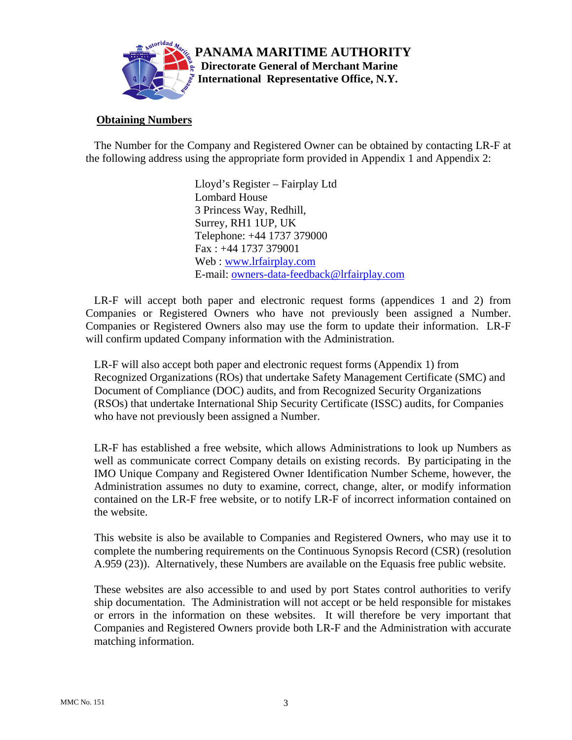

## **Obtaining Numbers**

 The Number for the Company and Registered Owner can be obtained by contacting LR-F at the following address using the appropriate form provided in Appendix 1 and Appendix 2:

> Lloyd's Register – Fairplay Ltd Lombard House 3 Princess Way, Redhill, Surrey, RH1 1UP, UK Telephone: +44 1737 379000 Fax : +44 1737 379001 Web : www.lrfairplay.com E-mail: owners-data-feedback@lrfairplay.com

 LR-F will accept both paper and electronic request forms (appendices 1 and 2) from Companies or Registered Owners who have not previously been assigned a Number. Companies or Registered Owners also may use the form to update their information. LR-F will confirm updated Company information with the Administration.

 LR-F will also accept both paper and electronic request forms (Appendix 1) from Recognized Organizations (ROs) that undertake Safety Management Certificate (SMC) and Document of Compliance (DOC) audits, and from Recognized Security Organizations (RSOs) that undertake International Ship Security Certificate (ISSC) audits, for Companies who have not previously been assigned a Number.

 LR-F has established a free website, which allows Administrations to look up Numbers as well as communicate correct Company details on existing records. By participating in the IMO Unique Company and Registered Owner Identification Number Scheme, however, the Administration assumes no duty to examine, correct, change, alter, or modify information contained on the LR-F free website, or to notify LR-F of incorrect information contained on the website.

 This website is also be available to Companies and Registered Owners, who may use it to complete the numbering requirements on the Continuous Synopsis Record (CSR) (resolution A.959 (23)). Alternatively, these Numbers are available on the Equasis free public website.

 These websites are also accessible to and used by port States control authorities to verify ship documentation. The Administration will not accept or be held responsible for mistakes or errors in the information on these websites. It will therefore be very important that Companies and Registered Owners provide both LR-F and the Administration with accurate matching information.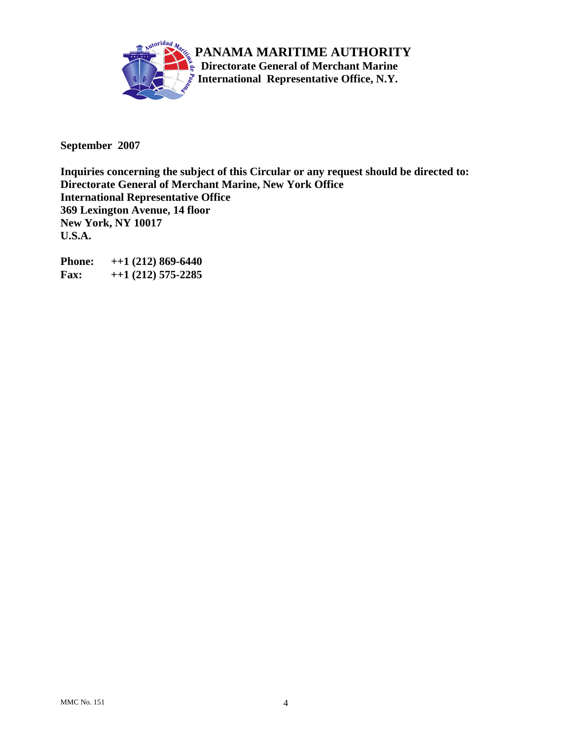

**September 2007** 

**Inquiries concerning the subject of this Circular or any request should be directed to: Directorate General of Merchant Marine, New York Office International Representative Office 369 Lexington Avenue, 14 floor New York, NY 10017 U.S.A.** 

**Phone: ++1 (212) 869-6440 Fax: ++1 (212) 575-2285**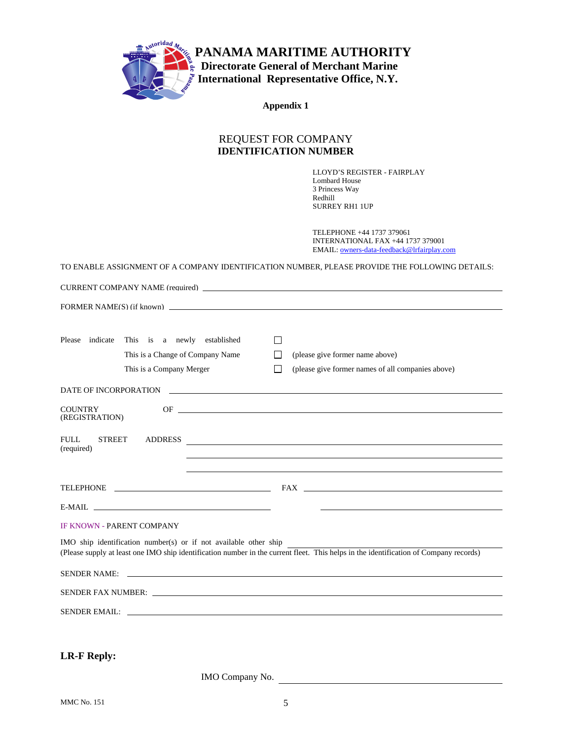

**PANAMA MARITIME AUTHORITY**  *Directorate General of Merchant Marine*  **International Representative Office, N.Y.**

**Appendix 1** 

## REQUEST FOR COMPANY **IDENTIFICATION NUMBER**

LLOYD'S REGISTER - FAIRPLAY Lombard House 3 Princess Way Redhill SURREY RH1 1UP

TELEPHONE +44 1737 379061 INTERNATIONAL FAX +44 1737 379001 EMAIL: owners-data-feedback@lrfairplay.com

TO ENABLE ASSIGNMENT OF A COMPANY IDENTIFICATION NUMBER, PLEASE PROVIDE THE FOLLOWING DETAILS:

| Please indicate<br>This is a newly established<br>$\perp$<br>This is a Change of Company Name<br>(please give former name above)<br>ΙI<br>This is a Company Merger<br>(please give former names of all companies above)<br>$\mathsf{L}$ |
|-----------------------------------------------------------------------------------------------------------------------------------------------------------------------------------------------------------------------------------------|
| DATE OF INCORPORATION                                                                                                                                                                                                                   |
| <b>COUNTRY</b><br>(REGISTRATION)                                                                                                                                                                                                        |
| <b>FULL</b><br><b>STREET</b><br>(required)                                                                                                                                                                                              |
|                                                                                                                                                                                                                                         |
| E-MAIL <u>the contract of the contract of the contract of the contract of the contract of the contract of the contract of the contract of the contract of the contract of the contract of the contract of the contract of the co</u>    |
| <b>IF KNOWN - PARENT COMPANY</b><br>IMO ship identification number(s) or if not available other ship                                                                                                                                    |
| (Please supply at least one IMO ship identification number in the current fleet. This helps in the identification of Company records)                                                                                                   |
| SENDER NAME:                                                                                                                                                                                                                            |
|                                                                                                                                                                                                                                         |
| SENDER EMAIL: New York Service Service Service Service Service Service Service Service Service Service Service                                                                                                                          |
| <b>LR-F Reply:</b>                                                                                                                                                                                                                      |

IMO Company No.